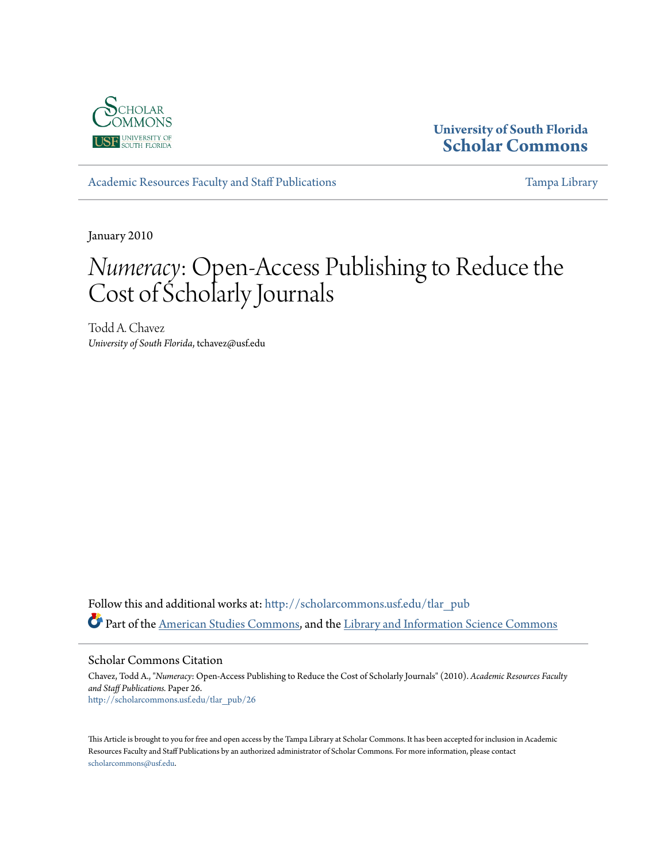

## **University of South Florida [Scholar Commons](http://scholarcommons.usf.edu?utm_source=scholarcommons.usf.edu%2Ftlar_pub%2F26&utm_medium=PDF&utm_campaign=PDFCoverPages)**

[Academic Resources Faculty and Staff Publications](http://scholarcommons.usf.edu/tlar_pub?utm_source=scholarcommons.usf.edu%2Ftlar_pub%2F26&utm_medium=PDF&utm_campaign=PDFCoverPages) [Tampa Library](http://scholarcommons.usf.edu/tlib?utm_source=scholarcommons.usf.edu%2Ftlar_pub%2F26&utm_medium=PDF&utm_campaign=PDFCoverPages) Tampa Library

January 2010

# *Numeracy*: Open-Access Publishing to Reduce the Cost of Scholarly Journals

Todd A. Chavez *University of South Florida*, tchavez@usf.edu

Follow this and additional works at: [http://scholarcommons.usf.edu/tlar\\_pub](http://scholarcommons.usf.edu/tlar_pub?utm_source=scholarcommons.usf.edu%2Ftlar_pub%2F26&utm_medium=PDF&utm_campaign=PDFCoverPages) Part of the [American Studies Commons](http://network.bepress.com/hgg/discipline/439?utm_source=scholarcommons.usf.edu%2Ftlar_pub%2F26&utm_medium=PDF&utm_campaign=PDFCoverPages), and the [Library and Information Science Commons](http://network.bepress.com/hgg/discipline/1018?utm_source=scholarcommons.usf.edu%2Ftlar_pub%2F26&utm_medium=PDF&utm_campaign=PDFCoverPages)

Scholar Commons Citation

Chavez, Todd A., "*Numeracy*: Open-Access Publishing to Reduce the Cost of Scholarly Journals" (2010). *Academic Resources Faculty and Staff Publications.* Paper 26. [http://scholarcommons.usf.edu/tlar\\_pub/26](http://scholarcommons.usf.edu/tlar_pub/26?utm_source=scholarcommons.usf.edu%2Ftlar_pub%2F26&utm_medium=PDF&utm_campaign=PDFCoverPages)

This Article is brought to you for free and open access by the Tampa Library at Scholar Commons. It has been accepted for inclusion in Academic Resources Faculty and Staff Publications by an authorized administrator of Scholar Commons. For more information, please contact [scholarcommons@usf.edu](mailto:scholarcommons@usf.edu).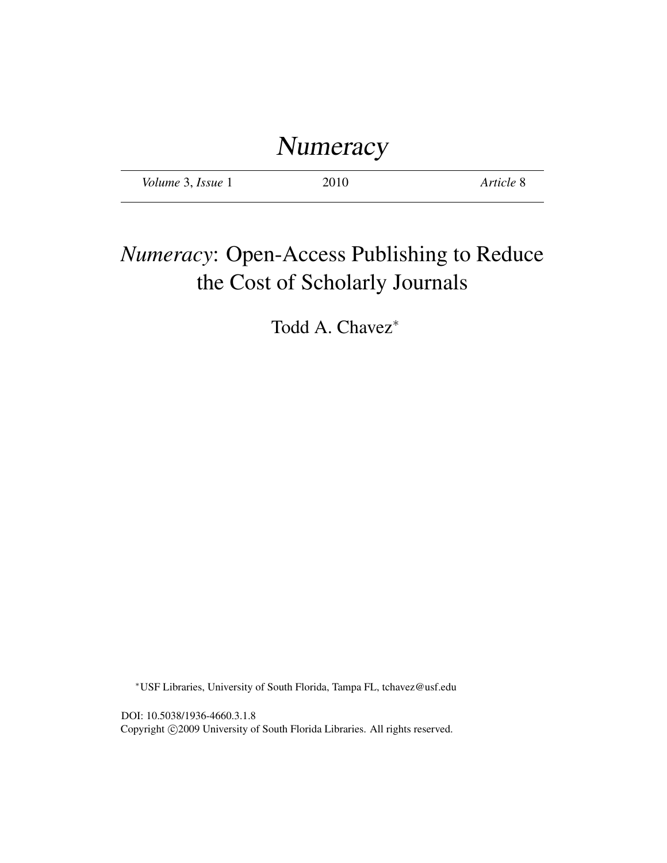# **Numeracy**

*Volume* 3, *Issue* 1 2010 *Article* 8

## *Numeracy*: Open-Access Publishing to Reduce the Cost of Scholarly Journals

Todd A. Chavez<sup>∗</sup>

<sup>∗</sup>USF Libraries, University of South Florida, Tampa FL, tchavez@usf.edu

DOI: 10.5038/1936-4660.3.1.8 Copyright ©2009 University of South Florida Libraries. All rights reserved.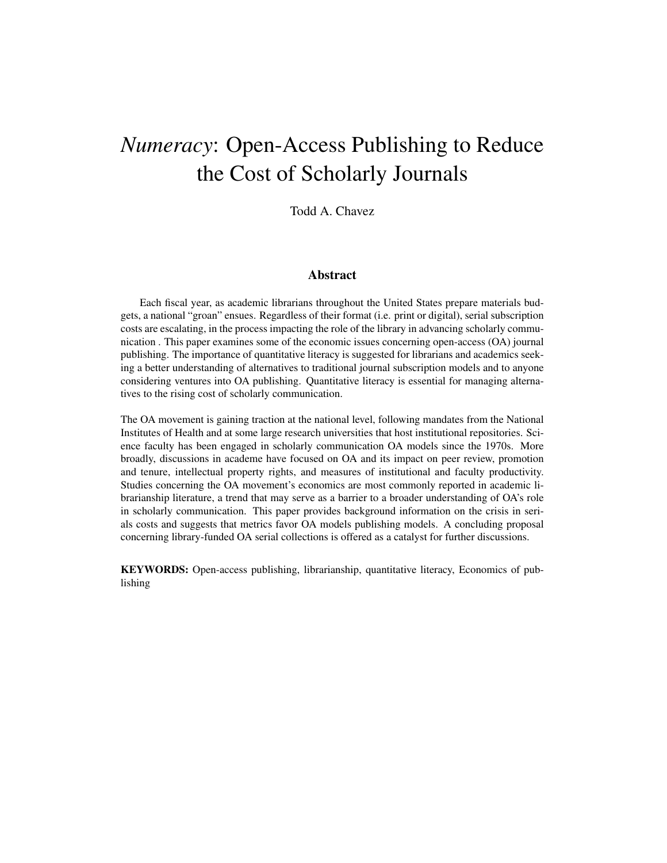## *Numeracy*: Open-Access Publishing to Reduce the Cost of Scholarly Journals

Todd A. Chavez

#### Abstract

Each fiscal year, as academic librarians throughout the United States prepare materials budgets, a national "groan" ensues. Regardless of their format (i.e. print or digital), serial subscription costs are escalating, in the process impacting the role of the library in advancing scholarly communication . This paper examines some of the economic issues concerning open-access (OA) journal publishing. The importance of quantitative literacy is suggested for librarians and academics seeking a better understanding of alternatives to traditional journal subscription models and to anyone considering ventures into OA publishing. Quantitative literacy is essential for managing alternatives to the rising cost of scholarly communication.

The OA movement is gaining traction at the national level, following mandates from the National Institutes of Health and at some large research universities that host institutional repositories. Science faculty has been engaged in scholarly communication OA models since the 1970s. More broadly, discussions in academe have focused on OA and its impact on peer review, promotion and tenure, intellectual property rights, and measures of institutional and faculty productivity. Studies concerning the OA movement's economics are most commonly reported in academic librarianship literature, a trend that may serve as a barrier to a broader understanding of OA's role in scholarly communication. This paper provides background information on the crisis in serials costs and suggests that metrics favor OA models publishing models. A concluding proposal concerning library-funded OA serial collections is offered as a catalyst for further discussions.

KEYWORDS: Open-access publishing, librarianship, quantitative literacy, Economics of publishing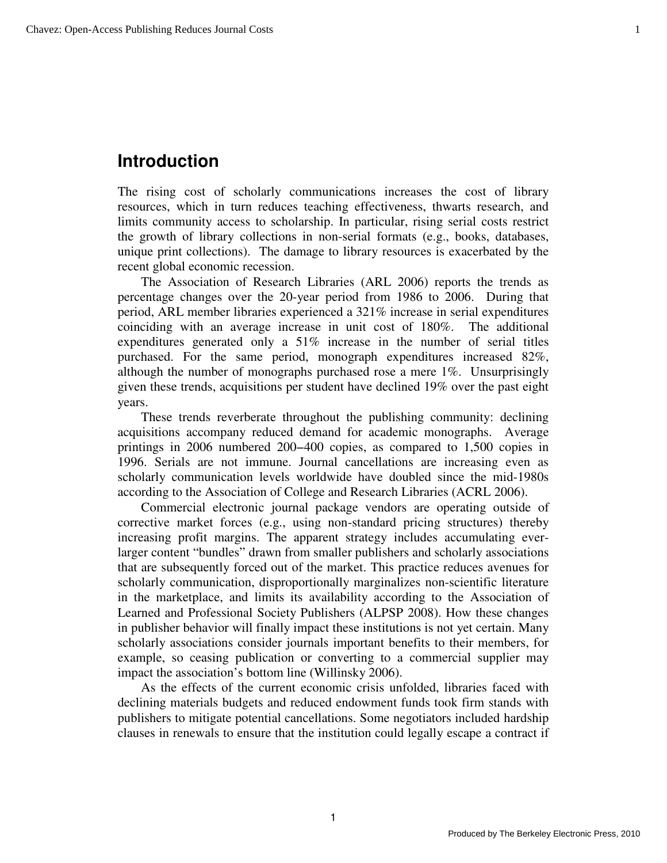## **Introduction**

The rising cost of scholarly communications increases the cost of library resources, which in turn reduces teaching effectiveness, thwarts research, and limits community access to scholarship. In particular, rising serial costs restrict the growth of library collections in non-serial formats (e.g., books, databases, unique print collections). The damage to library resources is exacerbated by the recent global economic recession.

The Association of Research Libraries (ARL 2006) reports the trends as percentage changes over the 20-year period from 1986 to 2006. During that period, ARL member libraries experienced a 321% increase in serial expenditures coinciding with an average increase in unit cost of 180%. The additional expenditures generated only a 51% increase in the number of serial titles purchased. For the same period, monograph expenditures increased 82%, although the number of monographs purchased rose a mere 1%. Unsurprisingly given these trends, acquisitions per student have declined 19% over the past eight years.

These trends reverberate throughout the publishing community: declining acquisitions accompany reduced demand for academic monographs. Average printings in 2006 numbered 200−400 copies, as compared to 1,500 copies in 1996. Serials are not immune. Journal cancellations are increasing even as scholarly communication levels worldwide have doubled since the mid-1980s according to the Association of College and Research Libraries (ACRL 2006).

Commercial electronic journal package vendors are operating outside of corrective market forces (e.g., using non-standard pricing structures) thereby increasing profit margins. The apparent strategy includes accumulating everlarger content "bundles" drawn from smaller publishers and scholarly associations that are subsequently forced out of the market. This practice reduces avenues for scholarly communication, disproportionally marginalizes non-scientific literature in the marketplace, and limits its availability according to the Association of Learned and Professional Society Publishers (ALPSP 2008). How these changes in publisher behavior will finally impact these institutions is not yet certain. Many scholarly associations consider journals important benefits to their members, for example, so ceasing publication or converting to a commercial supplier may impact the association's bottom line (Willinsky 2006).

As the effects of the current economic crisis unfolded, libraries faced with declining materials budgets and reduced endowment funds took firm stands with publishers to mitigate potential cancellations. Some negotiators included hardship clauses in renewals to ensure that the institution could legally escape a contract if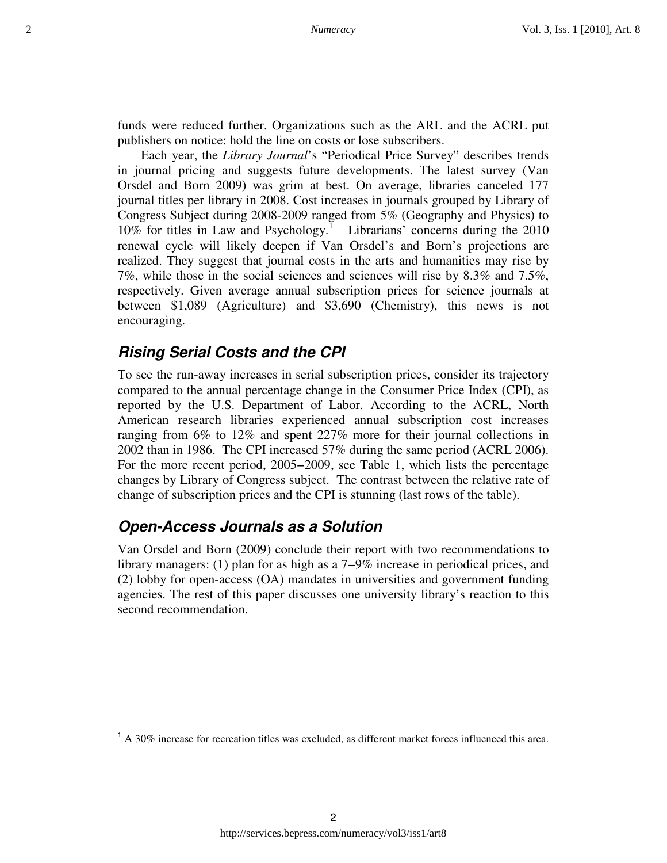funds were reduced further. Organizations such as the ARL and the ACRL put publishers on notice: hold the line on costs or lose subscribers.

Each year, the *Library Journal*'s "Periodical Price Survey" describes trends in journal pricing and suggests future developments. The latest survey (Van Orsdel and Born 2009) was grim at best. On average, libraries canceled 177 journal titles per library in 2008. Cost increases in journals grouped by Library of Congress Subject during 2008-2009 ranged from 5% (Geography and Physics) to 10% for titles in Law and Psychology.<sup>I</sup> Librarians' concerns during the 2010 renewal cycle will likely deepen if Van Orsdel's and Born's projections are realized. They suggest that journal costs in the arts and humanities may rise by 7%, while those in the social sciences and sciences will rise by 8.3% and 7.5%, respectively. Given average annual subscription prices for science journals at between \$1,089 (Agriculture) and \$3,690 (Chemistry), this news is not encouraging.

#### **Rising Serial Costs and the CPI**

To see the run-away increases in serial subscription prices, consider its trajectory compared to the annual percentage change in the Consumer Price Index (CPI), as reported by the U.S. Department of Labor. According to the ACRL, North American research libraries experienced annual subscription cost increases ranging from 6% to 12% and spent 227% more for their journal collections in 2002 than in 1986. The CPI increased 57% during the same period (ACRL 2006). For the more recent period, 2005−2009, see Table 1, which lists the percentage changes by Library of Congress subject. The contrast between the relative rate of change of subscription prices and the CPI is stunning (last rows of the table).

### **Open-Access Journals as a Solution**

Van Orsdel and Born (2009) conclude their report with two recommendations to library managers: (1) plan for as high as a 7−9% increase in periodical prices, and (2) lobby for open-access (OA) mandates in universities and government funding agencies. The rest of this paper discusses one university library's reaction to this second recommendation.

 $1$  A 30% increase for recreation titles was excluded, as different market forces influenced this area.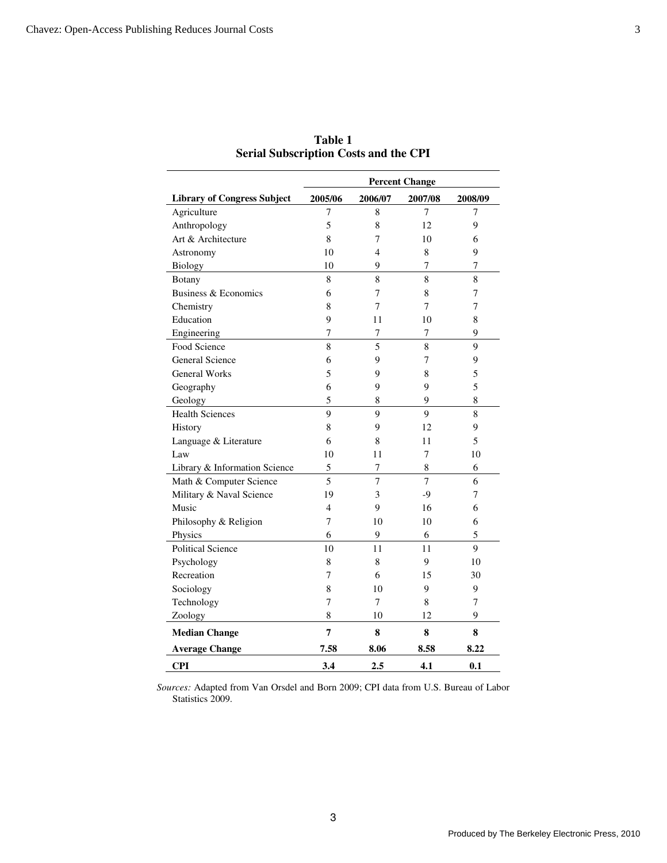|                                    | <b>Percent Change</b> |                |                |         |
|------------------------------------|-----------------------|----------------|----------------|---------|
| <b>Library of Congress Subject</b> | 2005/06               | 2006/07        | 2007/08        | 2008/09 |
| Agriculture                        | 7                     | 8              | 7              | 7       |
| Anthropology                       | 5                     | 8              | 12             | 9       |
| Art & Architecture                 | 8                     | 7              | 10             | 6       |
| Astronomy                          | 10                    | 4              | 8              | 9       |
| <b>Biology</b>                     | 10                    | 9              | 7              | 7       |
| Botany                             | 8                     | 8              | 8              | 8       |
| Business & Economics               | 6                     | 7              | 8              | 7       |
| Chemistry                          | 8                     | 7              | 7              | 7       |
| Education                          | 9                     | 11             | 10             | 8       |
| Engineering                        | 7                     | $\overline{7}$ | 7              | 9       |
| Food Science                       | 8                     | 5              | 8              | 9       |
| <b>General Science</b>             | 6                     | 9              | 7              | 9       |
| <b>General Works</b>               | 5                     | 9              | 8              | 5       |
| Geography                          | 6                     | 9              | 9              | 5       |
| Geology                            | 5                     | 8              | 9              | 8       |
| <b>Health Sciences</b>             | 9                     | 9              | 9              | 8       |
| History                            | 8                     | 9              | 12             | 9       |
| Language & Literature              | 6                     | 8              | 11             | 5       |
| Law                                | 10                    | 11             | 7              | 10      |
| Library & Information Science      | 5                     | 7              | $\,8\,$        | 6       |
| Math & Computer Science            | 5                     | $\overline{7}$ | $\overline{7}$ | 6       |
| Military & Naval Science           | 19                    | 3              | $-9$           | 7       |
| Music                              | 4                     | 9              | 16             | 6       |
| Philosophy & Religion              | 7                     | 10             | 10             | 6       |
| Physics                            | 6                     | 9              | 6              | 5       |
| <b>Political Science</b>           | 10                    | 11             | 11             | 9       |
| Psychology                         | 8                     | 8              | 9              | 10      |
| Recreation                         | 7                     | 6              | 15             | 30      |
| Sociology                          | 8                     | 10             | 9              | 9       |
| Technology                         | 7                     | 7              | 8              | 7       |
| Zoology                            | 8                     | 10             | 12             | 9       |
| <b>Median Change</b>               | 7                     | 8              | 8              | 8       |
| <b>Average Change</b>              | 7.58                  | 8.06           | 8.58           | 8.22    |
| <b>CPI</b>                         | 3.4                   | 2.5            | 4.1            | 0.1     |

**Table 1 Serial Subscription Costs and the CPI** 

*Sources:* Adapted from Van Orsdel and Born 2009; CPI data from U.S. Bureau of Labor Statistics 2009.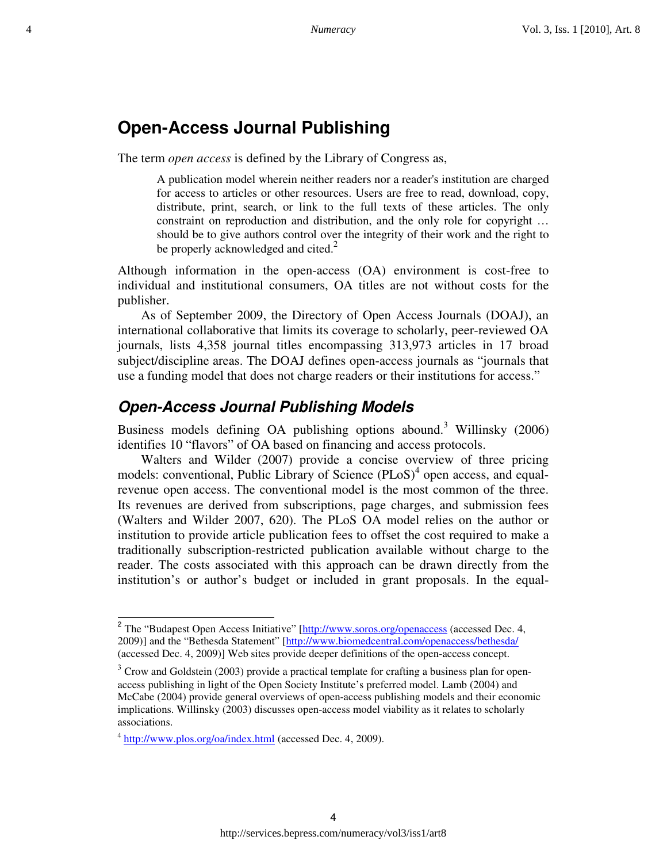## **Open-Access Journal Publishing**

The term *open access* is defined by the Library of Congress as,

A publication model wherein neither readers nor a reader's institution are charged for access to articles or other resources. Users are free to read, download, copy, distribute, print, search, or link to the full texts of these articles. The only constraint on reproduction and distribution, and the only role for copyright … should be to give authors control over the integrity of their work and the right to be properly acknowledged and cited. $2$ 

Although information in the open-access (OA) environment is cost-free to individual and institutional consumers, OA titles are not without costs for the publisher.

As of September 2009, the Directory of Open Access Journals (DOAJ), an international collaborative that limits its coverage to scholarly, peer-reviewed OA journals, lists 4,358 journal titles encompassing 313,973 articles in 17 broad subject/discipline areas. The DOAJ defines open-access journals as "journals that use a funding model that does not charge readers or their institutions for access."

#### **Open-Access Journal Publishing Models**

Business models defining OA publishing options abound.<sup>3</sup> Willinsky  $(2006)$ identifies 10 "flavors" of OA based on financing and access protocols.

Walters and Wilder (2007) provide a concise overview of three pricing models: conventional, Public Library of Science (PLoS)<sup>4</sup> open access, and equalrevenue open access. The conventional model is the most common of the three. Its revenues are derived from subscriptions, page charges, and submission fees (Walters and Wilder 2007, 620). The PLoS OA model relies on the author or institution to provide article publication fees to offset the cost required to make a traditionally subscription-restricted publication available without charge to the reader. The costs associated with this approach can be drawn directly from the institution's or author's budget or included in grant proposals. In the equal-

<sup>&</sup>lt;sup>2</sup> The "Budapest Open Access Initiative" [http://www.soros.org/openaccess (accessed Dec. 4, 2009)] and the "Bethesda Statement" [http://www.biomedcentral.com/openaccess/bethesda/ (accessed Dec. 4, 2009)] Web sites provide deeper definitions of the open-access concept.

 $3$  Crow and Goldstein (2003) provide a practical template for crafting a business plan for openaccess publishing in light of the Open Society Institute's preferred model. Lamb (2004) and McCabe (2004) provide general overviews of open-access publishing models and their economic implications. Willinsky (2003) discusses open-access model viability as it relates to scholarly associations.

<sup>&</sup>lt;sup>4</sup> http://www.plos.org/oa/index.html (accessed Dec. 4, 2009).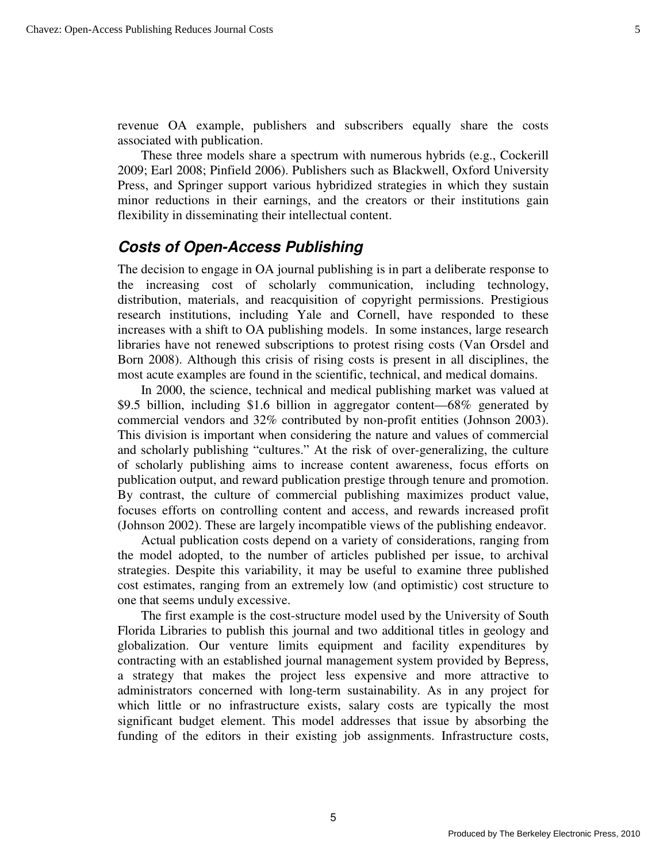revenue OA example, publishers and subscribers equally share the costs associated with publication.

These three models share a spectrum with numerous hybrids (e.g., Cockerill 2009; Earl 2008; Pinfield 2006). Publishers such as Blackwell, Oxford University Press, and Springer support various hybridized strategies in which they sustain minor reductions in their earnings, and the creators or their institutions gain flexibility in disseminating their intellectual content.

## **Costs of Open-Access Publishing**

The decision to engage in OA journal publishing is in part a deliberate response to the increasing cost of scholarly communication, including technology, distribution, materials, and reacquisition of copyright permissions. Prestigious research institutions, including Yale and Cornell, have responded to these increases with a shift to OA publishing models. In some instances, large research libraries have not renewed subscriptions to protest rising costs (Van Orsdel and Born 2008). Although this crisis of rising costs is present in all disciplines, the most acute examples are found in the scientific, technical, and medical domains.

In 2000, the science, technical and medical publishing market was valued at \$9.5 billion, including \$1.6 billion in aggregator content—68% generated by commercial vendors and 32% contributed by non-profit entities (Johnson 2003). This division is important when considering the nature and values of commercial and scholarly publishing "cultures." At the risk of over-generalizing, the culture of scholarly publishing aims to increase content awareness, focus efforts on publication output, and reward publication prestige through tenure and promotion. By contrast, the culture of commercial publishing maximizes product value, focuses efforts on controlling content and access, and rewards increased profit (Johnson 2002). These are largely incompatible views of the publishing endeavor.

Actual publication costs depend on a variety of considerations, ranging from the model adopted, to the number of articles published per issue, to archival strategies. Despite this variability, it may be useful to examine three published cost estimates, ranging from an extremely low (and optimistic) cost structure to one that seems unduly excessive.

The first example is the cost-structure model used by the University of South Florida Libraries to publish this journal and two additional titles in geology and globalization. Our venture limits equipment and facility expenditures by contracting with an established journal management system provided by Bepress, a strategy that makes the project less expensive and more attractive to administrators concerned with long-term sustainability. As in any project for which little or no infrastructure exists, salary costs are typically the most significant budget element. This model addresses that issue by absorbing the funding of the editors in their existing job assignments. Infrastructure costs,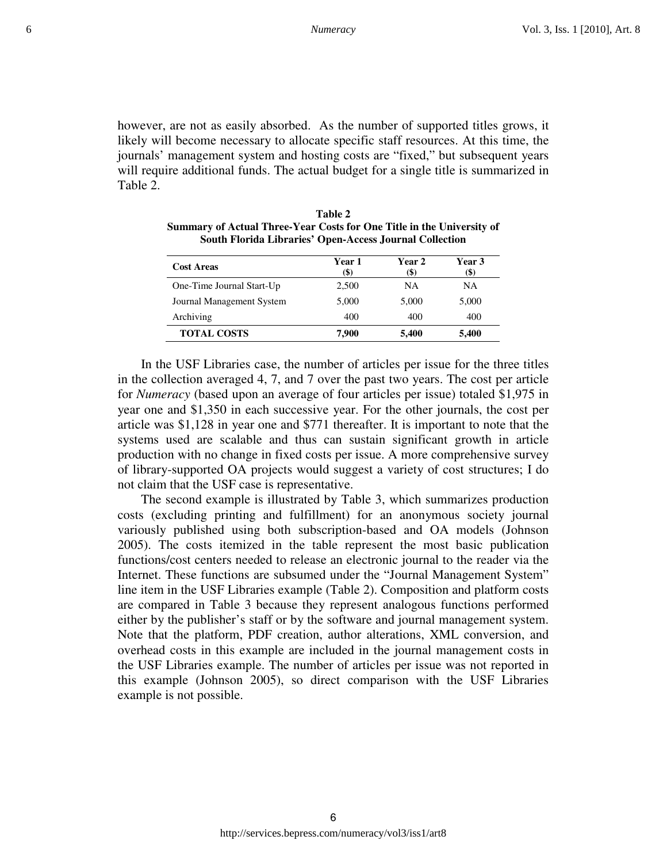however, are not as easily absorbed. As the number of supported titles grows, it likely will become necessary to allocate specific staff resources. At this time, the journals' management system and hosting costs are "fixed," but subsequent years will require additional funds. The actual budget for a single title is summarized in Table 2.

| <b>Cost Areas</b>         | Year 1<br>(\$) | Year 2<br>(\$) | <b>Year 3</b><br>(\$) |
|---------------------------|----------------|----------------|-----------------------|
| One-Time Journal Start-Up | 2,500          | NA             | NA                    |
| Journal Management System | 5,000          | 5,000          | 5,000                 |
| Archiving                 | 400            | 400            | 400                   |
| <b>TOTAL COSTS</b>        | 7.900          | 5,400          | 5,400                 |

**Table 2 Summary of Actual Three-Year Costs for One Title in the University of South Florida Libraries' Open-Access Journal Collection** 

In the USF Libraries case, the number of articles per issue for the three titles in the collection averaged 4, 7, and 7 over the past two years. The cost per article for *Numeracy* (based upon an average of four articles per issue) totaled \$1,975 in year one and \$1,350 in each successive year. For the other journals, the cost per article was \$1,128 in year one and \$771 thereafter. It is important to note that the systems used are scalable and thus can sustain significant growth in article production with no change in fixed costs per issue. A more comprehensive survey of library-supported OA projects would suggest a variety of cost structures; I do not claim that the USF case is representative.

The second example is illustrated by Table 3, which summarizes production costs (excluding printing and fulfillment) for an anonymous society journal variously published using both subscription-based and OA models (Johnson 2005). The costs itemized in the table represent the most basic publication functions/cost centers needed to release an electronic journal to the reader via the Internet. These functions are subsumed under the "Journal Management System" line item in the USF Libraries example (Table 2). Composition and platform costs are compared in Table 3 because they represent analogous functions performed either by the publisher's staff or by the software and journal management system. Note that the platform, PDF creation, author alterations, XML conversion, and overhead costs in this example are included in the journal management costs in the USF Libraries example. The number of articles per issue was not reported in this example (Johnson 2005), so direct comparison with the USF Libraries example is not possible.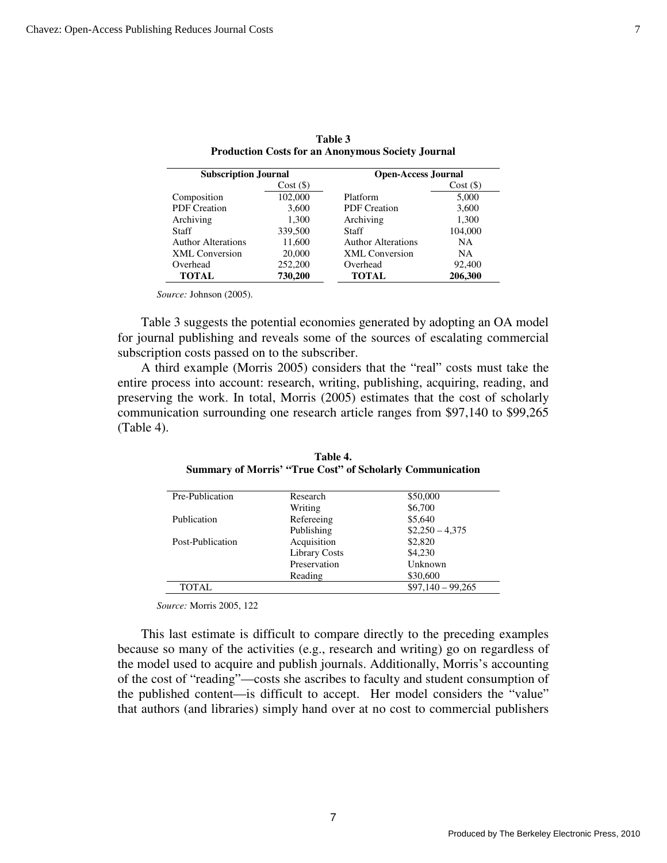| <b>Subscription Journal</b> |             | <b>Open-Access Journal</b> |         |
|-----------------------------|-------------|----------------------------|---------|
|                             | $Cost($ \$) |                            | Cost(S) |
| Composition                 | 102,000     | Platform                   | 5,000   |
| <b>PDF</b> Creation         | 3,600       | <b>PDF</b> Creation        | 3,600   |
| Archiving                   | 1,300       | Archiving                  | 1,300   |
| <b>Staff</b>                | 339,500     | Staff                      | 104,000 |
| <b>Author Alterations</b>   | 11,600      | <b>Author Alterations</b>  | NA.     |
| <b>XML</b> Conversion       | 20,000      | <b>XML</b> Conversion      | NA.     |
| Overhead                    | 252,200     | Overhead                   | 92,400  |
| TOTAL                       | 730,200     | TOTAL                      | 206,300 |

**Table 3 Production Costs for an Anonymous Society Journal**

*Source:* Johnson (2005).

Table 3 suggests the potential economies generated by adopting an OA model for journal publishing and reveals some of the sources of escalating commercial subscription costs passed on to the subscriber.

A third example (Morris 2005) considers that the "real" costs must take the entire process into account: research, writing, publishing, acquiring, reading, and preserving the work. In total, Morris (2005) estimates that the cost of scholarly communication surrounding one research article ranges from \$97,140 to \$99,265 (Table 4).

| Pre-Publication  | Research             | \$50,000           |
|------------------|----------------------|--------------------|
|                  | Writing              | \$6,700            |
| Publication      | Refereeing           | \$5,640            |
|                  | Publishing           | $$2,250 - 4,375$   |
| Post-Publication | Acquisition          | \$2,820            |
|                  | <b>Library Costs</b> | \$4.230            |
|                  | Preservation         | Unknown            |
|                  | Reading              | \$30,600           |
| <b>TOTAL</b>     |                      | $$97,140 - 99,265$ |

**Table 4. Summary of Morris' "True Cost" of Scholarly Communication** 

*Source:* Morris 2005, 122

This last estimate is difficult to compare directly to the preceding examples because so many of the activities (e.g., research and writing) go on regardless of the model used to acquire and publish journals. Additionally, Morris's accounting of the cost of "reading"—costs she ascribes to faculty and student consumption of the published content—is difficult to accept. Her model considers the "value" that authors (and libraries) simply hand over at no cost to commercial publishers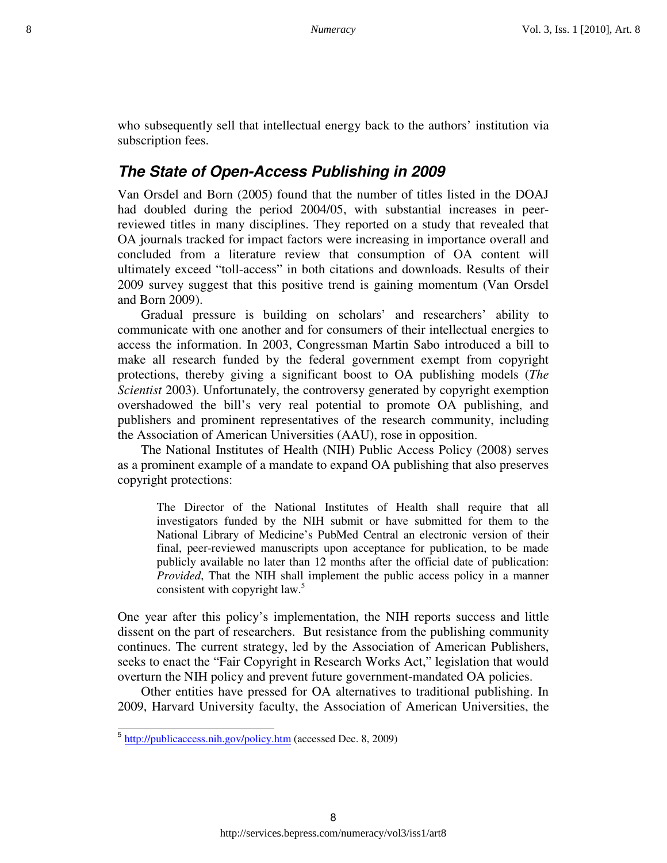who subsequently sell that intellectual energy back to the authors' institution via subscription fees.

#### **The State of Open-Access Publishing in 2009**

Van Orsdel and Born (2005) found that the number of titles listed in the DOAJ had doubled during the period 2004/05, with substantial increases in peerreviewed titles in many disciplines. They reported on a study that revealed that OA journals tracked for impact factors were increasing in importance overall and concluded from a literature review that consumption of OA content will ultimately exceed "toll-access" in both citations and downloads. Results of their 2009 survey suggest that this positive trend is gaining momentum (Van Orsdel and Born 2009).

Gradual pressure is building on scholars' and researchers' ability to communicate with one another and for consumers of their intellectual energies to access the information. In 2003, Congressman Martin Sabo introduced a bill to make all research funded by the federal government exempt from copyright protections, thereby giving a significant boost to OA publishing models (*The Scientist* 2003). Unfortunately, the controversy generated by copyright exemption overshadowed the bill's very real potential to promote OA publishing, and publishers and prominent representatives of the research community, including the Association of American Universities (AAU), rose in opposition.

The National Institutes of Health (NIH) Public Access Policy (2008) serves as a prominent example of a mandate to expand OA publishing that also preserves copyright protections:

The Director of the National Institutes of Health shall require that all investigators funded by the NIH submit or have submitted for them to the National Library of Medicine's PubMed Central an electronic version of their final, peer-reviewed manuscripts upon acceptance for publication, to be made publicly available no later than 12 months after the official date of publication: *Provided*, That the NIH shall implement the public access policy in a manner consistent with copyright law.<sup>5</sup>

One year after this policy's implementation, the NIH reports success and little dissent on the part of researchers. But resistance from the publishing community continues. The current strategy, led by the Association of American Publishers, seeks to enact the "Fair Copyright in Research Works Act," legislation that would overturn the NIH policy and prevent future government-mandated OA policies.

Other entities have pressed for OA alternatives to traditional publishing. In 2009, Harvard University faculty, the Association of American Universities, the

L

<sup>&</sup>lt;sup>5</sup> http://publicaccess.nih.gov/policy.htm (accessed Dec. 8, 2009)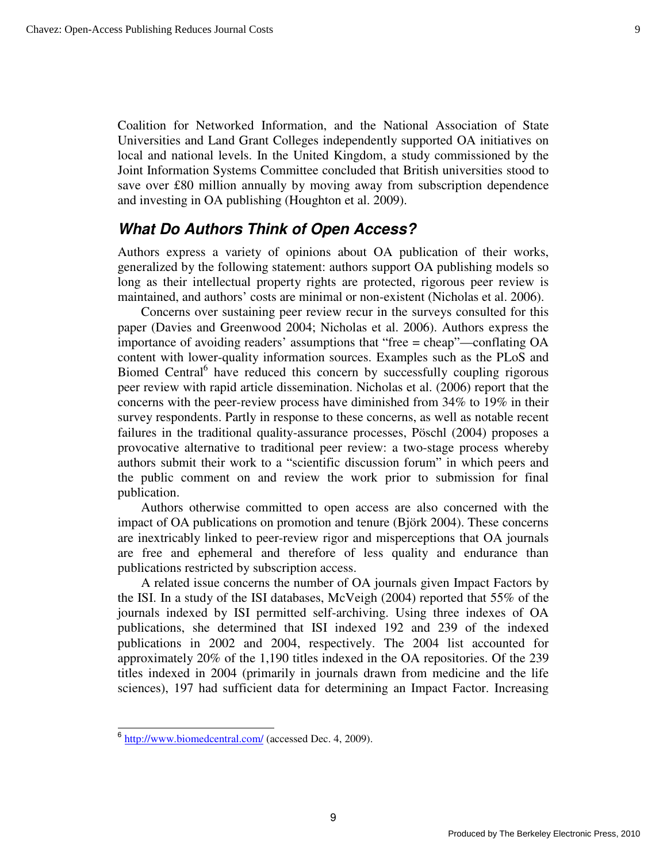Coalition for Networked Information, and the National Association of State Universities and Land Grant Colleges independently supported OA initiatives on local and national levels. In the United Kingdom, a study commissioned by the Joint Information Systems Committee concluded that British universities stood to save over £80 million annually by moving away from subscription dependence and investing in OA publishing (Houghton et al. 2009).

### **What Do Authors Think of Open Access?**

Authors express a variety of opinions about OA publication of their works, generalized by the following statement: authors support OA publishing models so long as their intellectual property rights are protected, rigorous peer review is maintained, and authors' costs are minimal or non-existent (Nicholas et al. 2006).

Concerns over sustaining peer review recur in the surveys consulted for this paper (Davies and Greenwood 2004; Nicholas et al. 2006). Authors express the importance of avoiding readers' assumptions that "free = cheap"—conflating OA content with lower-quality information sources. Examples such as the PLoS and Biomed Central<sup>6</sup> have reduced this concern by successfully coupling rigorous peer review with rapid article dissemination. Nicholas et al. (2006) report that the concerns with the peer-review process have diminished from 34% to 19% in their survey respondents. Partly in response to these concerns, as well as notable recent failures in the traditional quality-assurance processes, Pöschl (2004) proposes a provocative alternative to traditional peer review: a two-stage process whereby authors submit their work to a "scientific discussion forum" in which peers and the public comment on and review the work prior to submission for final publication.

Authors otherwise committed to open access are also concerned with the impact of OA publications on promotion and tenure (Björk 2004). These concerns are inextricably linked to peer-review rigor and misperceptions that OA journals are free and ephemeral and therefore of less quality and endurance than publications restricted by subscription access.

A related issue concerns the number of OA journals given Impact Factors by the ISI. In a study of the ISI databases, McVeigh (2004) reported that 55% of the journals indexed by ISI permitted self-archiving. Using three indexes of OA publications, she determined that ISI indexed 192 and 239 of the indexed publications in 2002 and 2004, respectively. The 2004 list accounted for approximately 20% of the 1,190 titles indexed in the OA repositories. Of the 239 titles indexed in 2004 (primarily in journals drawn from medicine and the life sciences), 197 had sufficient data for determining an Impact Factor. Increasing

L

<sup>&</sup>lt;sup>6</sup> http://www.biomedcentral.com/ (accessed Dec. 4, 2009).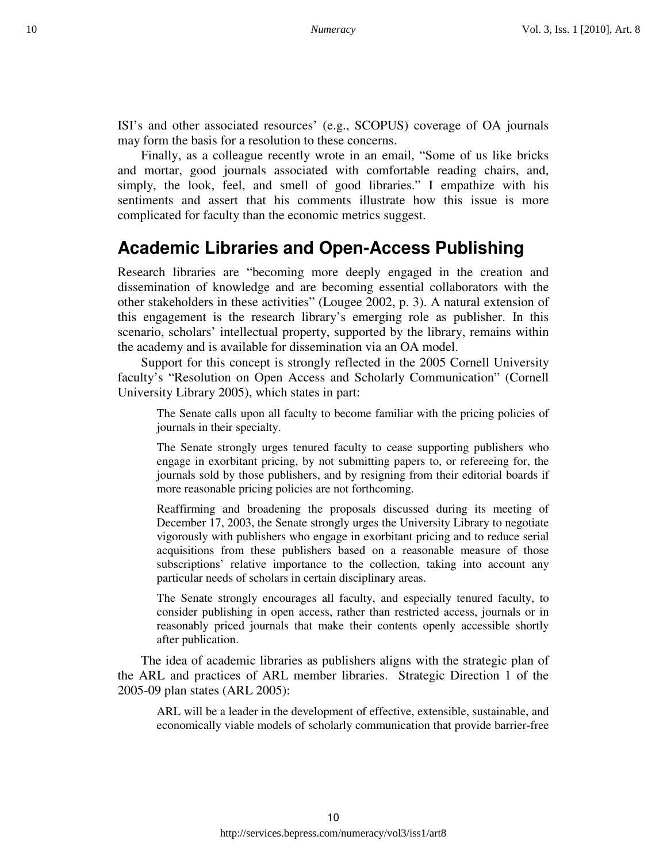ISI's and other associated resources' (e.g., SCOPUS) coverage of OA journals may form the basis for a resolution to these concerns.

Finally, as a colleague recently wrote in an email, "Some of us like bricks and mortar, good journals associated with comfortable reading chairs, and, simply, the look, feel, and smell of good libraries." I empathize with his sentiments and assert that his comments illustrate how this issue is more complicated for faculty than the economic metrics suggest.

## **Academic Libraries and Open-Access Publishing**

Research libraries are "becoming more deeply engaged in the creation and dissemination of knowledge and are becoming essential collaborators with the other stakeholders in these activities" (Lougee 2002, p. 3). A natural extension of this engagement is the research library's emerging role as publisher. In this scenario, scholars' intellectual property, supported by the library, remains within the academy and is available for dissemination via an OA model.

Support for this concept is strongly reflected in the 2005 Cornell University faculty's "Resolution on Open Access and Scholarly Communication" (Cornell University Library 2005), which states in part:

The Senate calls upon all faculty to become familiar with the pricing policies of journals in their specialty.

The Senate strongly urges tenured faculty to cease supporting publishers who engage in exorbitant pricing, by not submitting papers to, or refereeing for, the journals sold by those publishers, and by resigning from their editorial boards if more reasonable pricing policies are not forthcoming.

Reaffirming and broadening the proposals discussed during its meeting of December 17, 2003, the Senate strongly urges the University Library to negotiate vigorously with publishers who engage in exorbitant pricing and to reduce serial acquisitions from these publishers based on a reasonable measure of those subscriptions' relative importance to the collection, taking into account any particular needs of scholars in certain disciplinary areas.

The Senate strongly encourages all faculty, and especially tenured faculty, to consider publishing in open access, rather than restricted access, journals or in reasonably priced journals that make their contents openly accessible shortly after publication.

The idea of academic libraries as publishers aligns with the strategic plan of the ARL and practices of ARL member libraries. Strategic Direction 1 of the 2005-09 plan states (ARL 2005):

ARL will be a leader in the development of effective, extensible, sustainable, and economically viable models of scholarly communication that provide barrier-free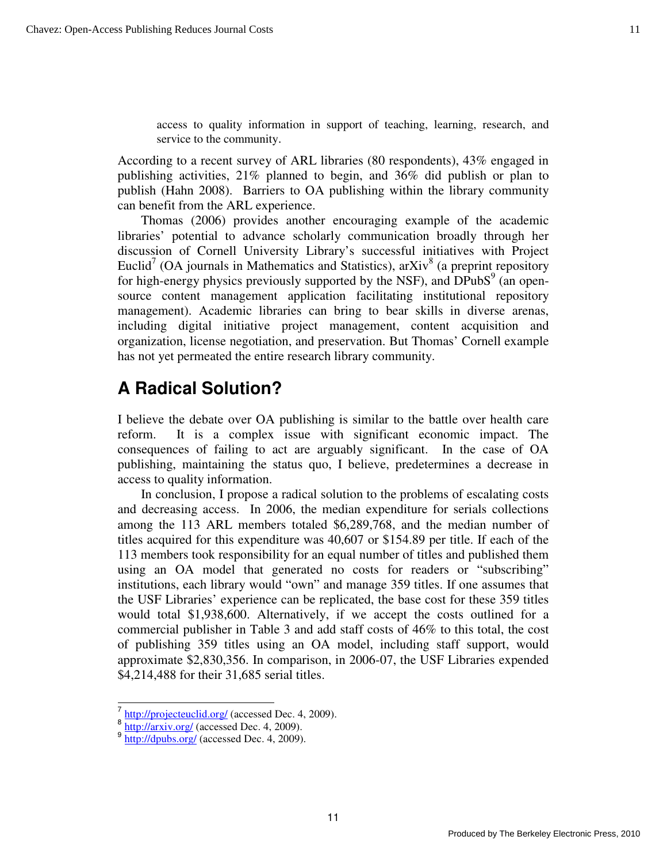access to quality information in support of teaching, learning, research, and service to the community.

According to a recent survey of ARL libraries (80 respondents), 43% engaged in publishing activities, 21% planned to begin, and 36% did publish or plan to publish (Hahn 2008). Barriers to OA publishing within the library community can benefit from the ARL experience.

Thomas (2006) provides another encouraging example of the academic libraries' potential to advance scholarly communication broadly through her discussion of Cornell University Library's successful initiatives with Project Euclid<sup>7</sup> (OA journals in Mathematics and Statistics), arXiv<sup>8</sup> (a preprint repository for high-energy physics previously supported by the NSF), and  $DPubS<sup>9</sup>$  (an opensource content management application facilitating institutional repository management). Academic libraries can bring to bear skills in diverse arenas, including digital initiative project management, content acquisition and organization, license negotiation, and preservation. But Thomas' Cornell example has not yet permeated the entire research library community.

## **A Radical Solution?**

I believe the debate over OA publishing is similar to the battle over health care reform. It is a complex issue with significant economic impact. The consequences of failing to act are arguably significant. In the case of OA publishing, maintaining the status quo, I believe, predetermines a decrease in access to quality information.

In conclusion, I propose a radical solution to the problems of escalating costs and decreasing access. In 2006, the median expenditure for serials collections among the 113 ARL members totaled \$6,289,768, and the median number of titles acquired for this expenditure was 40,607 or \$154.89 per title. If each of the 113 members took responsibility for an equal number of titles and published them using an OA model that generated no costs for readers or "subscribing" institutions, each library would "own" and manage 359 titles. If one assumes that the USF Libraries' experience can be replicated, the base cost for these 359 titles would total \$1,938,600. Alternatively, if we accept the costs outlined for a commercial publisher in Table 3 and add staff costs of 46% to this total, the cost of publishing 359 titles using an OA model, including staff support, would approximate \$2,830,356. In comparison, in 2006-07, the USF Libraries expended \$4,214,488 for their 31,685 serial titles.

L

<sup>&</sup>lt;sup>7</sup> http://projecteuclid.org/ (accessed Dec. 4, 2009).

 $\frac{8 \text{ http://arxiv.org/ (accessed Dec. 4, 2009).}$ 

 $9 \frac{\text{http://dpubs.org/}}{\text{http://dpubs.org/}}$  (accessed Dec. 4, 2009).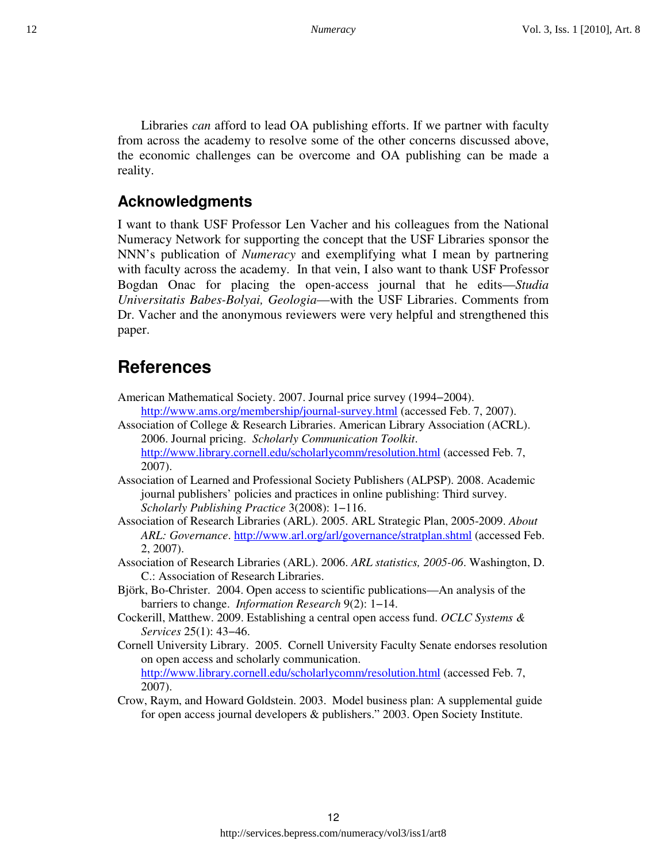Libraries *can* afford to lead OA publishing efforts. If we partner with faculty from across the academy to resolve some of the other concerns discussed above, the economic challenges can be overcome and OA publishing can be made a reality.

### **Acknowledgments**

I want to thank USF Professor Len Vacher and his colleagues from the National Numeracy Network for supporting the concept that the USF Libraries sponsor the NNN's publication of *Numeracy* and exemplifying what I mean by partnering with faculty across the academy. In that vein, I also want to thank USF Professor Bogdan Onac for placing the open-access journal that he edits—*Studia Universitatis Babes-Bolyai, Geologia*—with the USF Libraries. Comments from Dr. Vacher and the anonymous reviewers were very helpful and strengthened this paper.

## **References**

- American Mathematical Society. 2007. Journal price survey (1994−2004). http://www.ams.org/membership/journal-survey.html (accessed Feb. 7, 2007).
- Association of College & Research Libraries. American Library Association (ACRL). 2006. Journal pricing. *Scholarly Communication Toolkit*. http://www.library.cornell.edu/scholarlycomm/resolution.html (accessed Feb. 7, 2007).
- Association of Learned and Professional Society Publishers (ALPSP). 2008. Academic journal publishers' policies and practices in online publishing: Third survey. *Scholarly Publishing Practice* 3(2008): 1−116.
- Association of Research Libraries (ARL). 2005. ARL Strategic Plan, 2005-2009. *About ARL: Governance*. http://www.arl.org/arl/governance/stratplan.shtml (accessed Feb. 2, 2007).
- Association of Research Libraries (ARL). 2006. *ARL statistics, 2005-06*. Washington, D. C.: Association of Research Libraries.
- Björk, Bo-Christer. 2004. Open access to scientific publications—An analysis of the barriers to change. *Information Research* 9(2): 1−14.
- Cockerill, Matthew. 2009. Establishing a central open access fund. *OCLC Systems & Services* 25(1): 43−46.
- Cornell University Library. 2005. Cornell University Faculty Senate endorses resolution on open access and scholarly communication. http://www.library.cornell.edu/scholarlycomm/resolution.html (accessed Feb. 7, 2007).
- Crow, Raym, and Howard Goldstein. 2003. Model business plan: A supplemental guide for open access journal developers & publishers." 2003. Open Society Institute.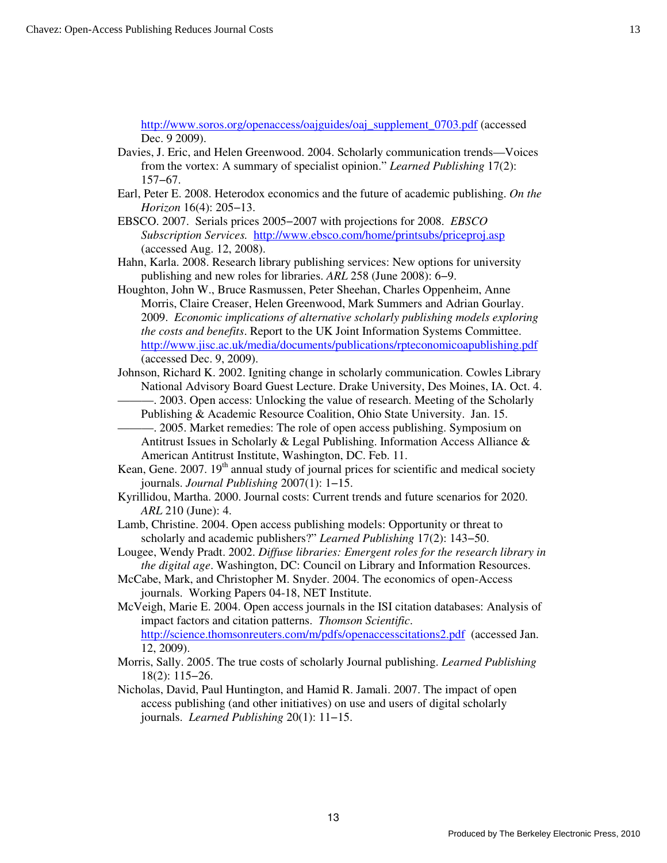http://www.soros.org/openaccess/oajguides/oaj\_supplement\_0703.pdf (accessed Dec. 9 2009).

- Davies, J. Eric, and Helen Greenwood. 2004. Scholarly communication trends—Voices from the vortex: A summary of specialist opinion." *Learned Publishing* 17(2): 157−67.
- Earl, Peter E. 2008. Heterodox economics and the future of academic publishing. *On the Horizon* 16(4): 205−13.
- EBSCO. 2007. Serials prices 2005−2007 with projections for 2008. *EBSCO Subscription Services.* http://www.ebsco.com/home/printsubs/priceproj.asp (accessed Aug. 12, 2008).
- Hahn, Karla. 2008. Research library publishing services: New options for university publishing and new roles for libraries. *ARL* 258 (June 2008): 6−9.
- Houghton, John W., Bruce Rasmussen, Peter Sheehan, Charles Oppenheim, Anne Morris, Claire Creaser, Helen Greenwood, Mark Summers and Adrian Gourlay. 2009. *Economic implications of alternative scholarly publishing models exploring the costs and benefits*. Report to the UK Joint Information Systems Committee. http://www.jisc.ac.uk/media/documents/publications/rpteconomicoapublishing.pdf (accessed Dec. 9, 2009).
- Johnson, Richard K. 2002. Igniting change in scholarly communication. Cowles Library National Advisory Board Guest Lecture. Drake University, Des Moines, IA. Oct. 4.
	- ———. 2003. Open access: Unlocking the value of research. Meeting of the Scholarly Publishing & Academic Resource Coalition, Ohio State University. Jan. 15.
	- ———. 2005. Market remedies: The role of open access publishing. Symposium on Antitrust Issues in Scholarly & Legal Publishing. Information Access Alliance & American Antitrust Institute, Washington, DC. Feb. 11.
- Kean, Gene.  $2007.19<sup>th</sup>$  annual study of journal prices for scientific and medical society journals. *Journal Publishing* 2007(1): 1−15.
- Kyrillidou, Martha. 2000. Journal costs: Current trends and future scenarios for 2020. *ARL* 210 (June): 4.
- Lamb, Christine. 2004. Open access publishing models: Opportunity or threat to scholarly and academic publishers?" *Learned Publishing* 17(2): 143−50.
- Lougee, Wendy Pradt. 2002. *Diffuse libraries: Emergent roles for the research library in the digital age*. Washington, DC: Council on Library and Information Resources.
- McCabe, Mark, and Christopher M. Snyder. 2004. The economics of open-Access journals. Working Papers 04-18, NET Institute.
- McVeigh, Marie E. 2004. Open access journals in the ISI citation databases: Analysis of impact factors and citation patterns. *Thomson Scientific*. http://science.thomsonreuters.com/m/pdfs/openaccesscitations2.pdf (accessed Jan. 12, 2009).
- Morris, Sally. 2005. The true costs of scholarly Journal publishing. *Learned Publishing* 18(2): 115−26.
- Nicholas, David, Paul Huntington, and Hamid R. Jamali. 2007. The impact of open access publishing (and other initiatives) on use and users of digital scholarly journals. *Learned Publishing* 20(1): 11−15.